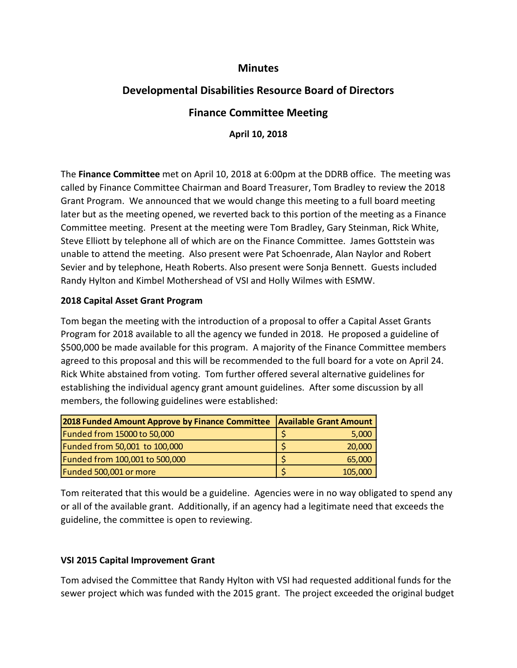## **Minutes**

# **Developmental Disabilities Resource Board of Directors**

## **Finance Committee Meeting**

**April 10, 2018**

The **Finance Committee** met on April 10, 2018 at 6:00pm at the DDRB office. The meeting was called by Finance Committee Chairman and Board Treasurer, Tom Bradley to review the 2018 Grant Program. We announced that we would change this meeting to a full board meeting later but as the meeting opened, we reverted back to this portion of the meeting as a Finance Committee meeting. Present at the meeting were Tom Bradley, Gary Steinman, Rick White, Steve Elliott by telephone all of which are on the Finance Committee. James Gottstein was unable to attend the meeting. Also present were Pat Schoenrade, Alan Naylor and Robert Sevier and by telephone, Heath Roberts. Also present were Sonja Bennett. Guests included Randy Hylton and Kimbel Mothershead of VSI and Holly Wilmes with ESMW.

#### **2018 Capital Asset Grant Program**

Tom began the meeting with the introduction of a proposal to offer a Capital Asset Grants Program for 2018 available to all the agency we funded in 2018. He proposed a guideline of \$500,000 be made available for this program. A majority of the Finance Committee members agreed to this proposal and this will be recommended to the full board for a vote on April 24. Rick White abstained from voting. Tom further offered several alternative guidelines for establishing the individual agency grant amount guidelines. After some discussion by all members, the following guidelines were established:

| 2018 Funded Amount Approve by Finance Committee   Available Grant Amount |         |
|--------------------------------------------------------------------------|---------|
| Funded from 15000 to 50,000                                              | 5,000   |
| Funded from 50,001 to 100,000                                            | 20,000  |
| Funded from 100,001 to 500,000                                           | 65,000  |
| Funded 500,001 or more                                                   | 105,000 |

Tom reiterated that this would be a guideline. Agencies were in no way obligated to spend any or all of the available grant. Additionally, if an agency had a legitimate need that exceeds the guideline, the committee is open to reviewing.

#### **VSI 2015 Capital Improvement Grant**

Tom advised the Committee that Randy Hylton with VSI had requested additional funds for the sewer project which was funded with the 2015 grant. The project exceeded the original budget